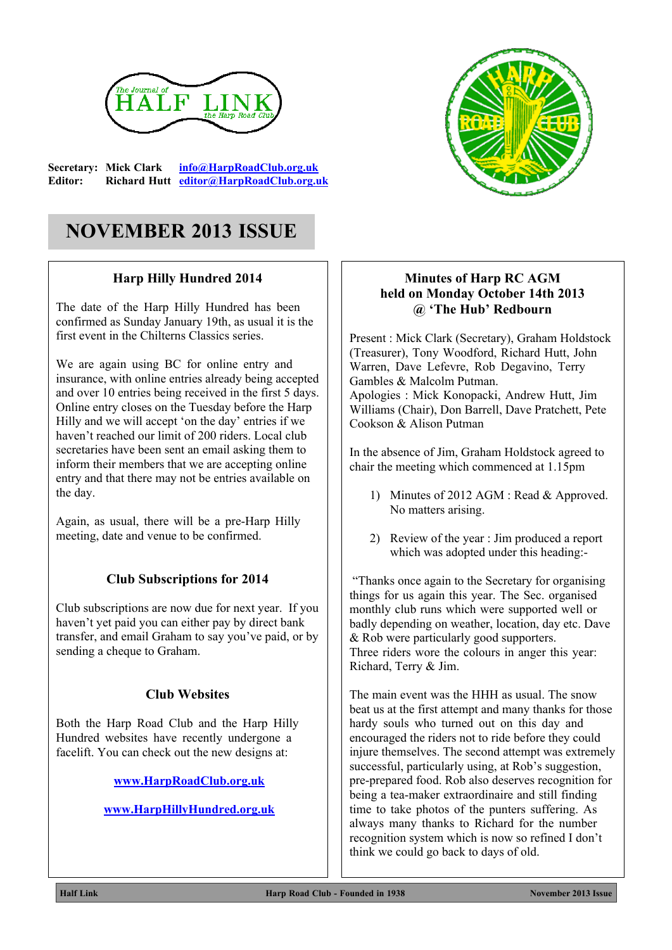

**Secretary: Mick Clark [info@HarpRoadClub.org.uk](mailto:info@HarpRoadClub.org.uk) Editor: Richard Hutt [editor@HarpRoadClub.org.uk](mailto:editor@HarpRoadClub.org.uk)**

## **NOVEMBER 2013 ISSUE**

#### **Harp Hilly Hundred 2014**

The date of the Harp Hilly Hundred has been confirmed as Sunday January 19th, as usual it is the first event in the Chilterns Classics series.

We are again using BC for online entry and insurance, with online entries already being accepted and over 10 entries being received in the first 5 days. Online entry closes on the Tuesday before the Harp Hilly and we will accept 'on the day' entries if we haven't reached our limit of 200 riders. Local club secretaries have been sent an email asking them to inform their members that we are accepting online entry and that there may not be entries available on the day.

Again, as usual, there will be a pre-Harp Hilly meeting, date and venue to be confirmed.

#### **Club Subscriptions for 2014**

Club subscriptions are now due for next year. If you haven't yet paid you can either pay by direct bank transfer, and email Graham to say you've paid, or by sending a cheque to Graham.

#### **Club Websites**

Both the Harp Road Club and the Harp Hilly Hundred websites have recently undergone a facelift. You can check out the new designs at:

**[www.HarpRoadClub.org.uk](http://www.HarpRoadClub.org.uk)**

**[www.HarpHillyHundred.org.uk](http://www.HarpHillyHundred.org.uk)**



#### **Minutes of Harp RC AGM held on Monday October 14th 2013 @ 'The Hub' Redbourn**

Present : Mick Clark (Secretary), Graham Holdstock (Treasurer), Tony Woodford, Richard Hutt, John Warren, Dave Lefevre, Rob Degavino, Terry Gambles & Malcolm Putman. Apologies : Mick Konopacki, Andrew Hutt, Jim Williams (Chair), Don Barrell, Dave Pratchett, Pete Cookson & Alison Putman

In the absence of Jim, Graham Holdstock agreed to chair the meeting which commenced at 1.15pm

- 1) Minutes of 2012 AGM : Read & Approved. No matters arising.
- 2) Review of the year : Jim produced a report which was adopted under this heading:-

 "Thanks once again to the Secretary for organising things for us again this year. The Sec. organised monthly club runs which were supported well or badly depending on weather, location, day etc. Dave & Rob were particularly good supporters. Three riders wore the colours in anger this year: Richard, Terry & Jim.

The main event was the HHH as usual. The snow beat us at the first attempt and many thanks for those hardy souls who turned out on this day and encouraged the riders not to ride before they could injure themselves. The second attempt was extremely successful, particularly using, at Rob's suggestion, pre-prepared food. Rob also deserves recognition for being a tea-maker extraordinaire and still finding time to take photos of the punters suffering. As always many thanks to Richard for the number recognition system which is now so refined I don't think we could go back to days of old.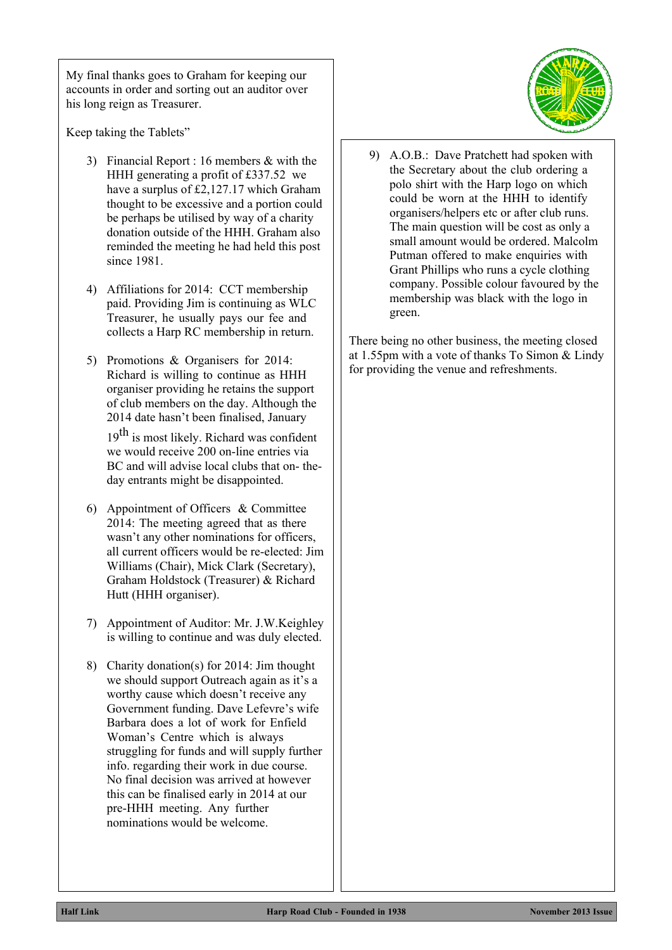My final thanks goes to Graham for keeping our accounts in order and sorting out an auditor over his long reign as Treasurer.

Keep taking the Tablets"

- 3) Financial Report : 16 members & with the HHH generating a profit of £337.52 we have a surplus of £2,127.17 which Graham thought to be excessive and a portion could be perhaps be utilised by way of a charity donation outside of the HHH. Graham also reminded the meeting he had held this post since 1981.
- 4) Affiliations for 2014: CCT membership paid. Providing Jim is continuing as WLC Treasurer, he usually pays our fee and collects a Harp RC membership in return.
- 5) Promotions & Organisers for 2014: Richard is willing to continue as HHH organiser providing he retains the support of club members on the day. Although the 2014 date hasn't been finalised, January

 $19<sup>th</sup>$  is most likely. Richard was confident we would receive 200 on-line entries via BC and will advise local clubs that on- theday entrants might be disappointed.

- 6) Appointment of Officers & Committee 2014: The meeting agreed that as there wasn't any other nominations for officers, all current officers would be re-elected: Jim Williams (Chair), Mick Clark (Secretary), Graham Holdstock (Treasurer) & Richard Hutt (HHH organiser).
- 7) Appointment of Auditor: Mr. J.W.Keighley is willing to continue and was duly elected.
- 8) Charity donation(s) for 2014: Jim thought we should support Outreach again as it's a worthy cause which doesn't receive any Government funding. Dave Lefevre's wife Barbara does a lot of work for Enfield Woman's Centre which is always struggling for funds and will supply further info. regarding their work in due course. No final decision was arrived at however this can be finalised early in 2014 at our pre-HHH meeting. Any further nominations would be welcome.



9) A.O.B.: Dave Pratchett had spoken with the Secretary about the club ordering a polo shirt with the Harp logo on which could be worn at the HHH to identify organisers/helpers etc or after club runs. The main question will be cost as only a small amount would be ordered. Malcolm Putman offered to make enquiries with Grant Phillips who runs a cycle clothing company. Possible colour favoured by the membership was black with the logo in green.

There being no other business, the meeting closed at 1.55pm with a vote of thanks To Simon & Lindy for providing the venue and refreshments.